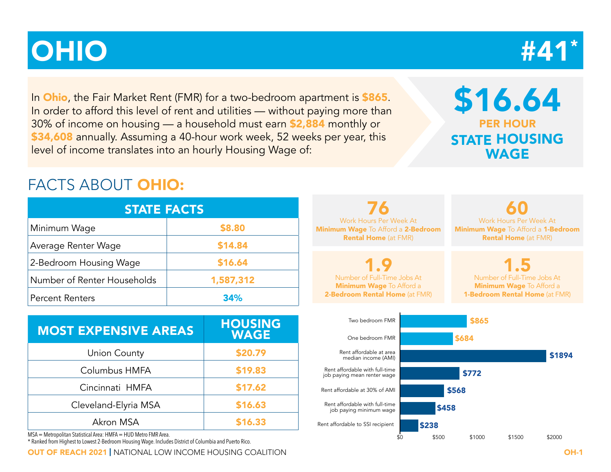# STATE OHIO RANKING #41\*

In **Ohio**, the Fair Market Rent (FMR) for a two-bedroom apartment is **\$865**. In order to afford this level of rent and utilities — without paying more than 30% of income on housing — a household must earn \$2,884 monthly or \$34,608 annually. Assuming a 40-hour work week, 52 weeks per year, this level of income translates into an hourly Housing Wage of:

# \$16.64 PER HOUR STATE HOUSING WAGE

# FACTS ABOUT OHIO:

| <b>STATE FACTS</b>          |           |  |  |  |  |  |  |  |  |  |
|-----------------------------|-----------|--|--|--|--|--|--|--|--|--|
| Minimum Wage                | \$8.80    |  |  |  |  |  |  |  |  |  |
| Average Renter Wage         | \$14.84   |  |  |  |  |  |  |  |  |  |
| 2-Bedroom Housing Wage      | \$16.64   |  |  |  |  |  |  |  |  |  |
| Number of Renter Households | 1,587,312 |  |  |  |  |  |  |  |  |  |
| <b>Percent Renters</b>      | 34%       |  |  |  |  |  |  |  |  |  |

| <b>MOST EXPENSIVE AREAS</b> | <b>HOUSING</b><br><b>WAGE</b> |
|-----------------------------|-------------------------------|
| Union County                | \$20.79                       |
| Columbus HMFA               | \$19.83                       |
| Cincinnati HMFA             | \$17.62                       |
| Cleveland-Elyria MSA        | \$16.63                       |
| Akron MSA                   | \$16.33                       |

1.9 Number of Full-Time Jobs At Minimum Wage To Afford a 2-Bedroom Rental Home (at FMR)

76 Work Hours Per Week At Minimum Wage To Afford a 2-Bedroom Rental Home (at FMR)

60 Work Hours Per Week At Minimum Wage To Afford a 1-Bedroom Rental Home (at FMR)

1.5 Number of Full-Time Jobs At Minimum Wage To Afford a 1-Bedroom Rental Home (at FMR)



MSA = Metropolitan Statistical Area: HMFA = HUD Metro FMR Area.

\* Ranked from Highest to Lowest 2-Bedroom Housing Wage. Includes District of Columbia and Puerto Rico.

OUT OF REACH 2021 | NATIONAL LOW INCOME HOUSING COALITION OH-1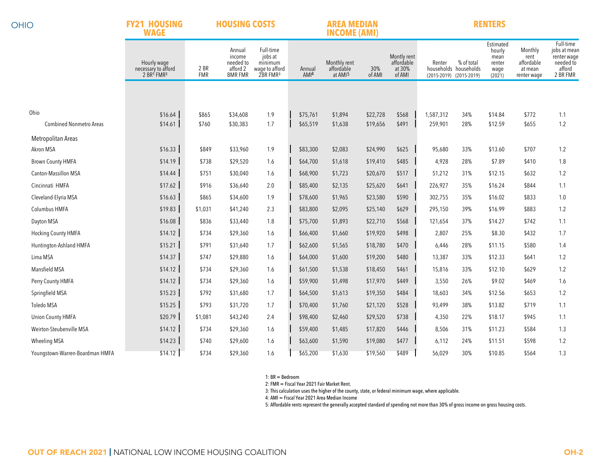| <b>OHIO</b>                     | <b>FY21 HOUSING</b><br><b>WAGE</b>                                       |                    | <b>HOUSING COSTS</b>                                        |                                                                           |                            | <b>AREA MEDIAN</b><br><b>INCOME (AMI)</b>         |               |                                               | <b>RENTERS</b> |                                                                |                                                         |                                                         |                                                                             |  |
|---------------------------------|--------------------------------------------------------------------------|--------------------|-------------------------------------------------------------|---------------------------------------------------------------------------|----------------------------|---------------------------------------------------|---------------|-----------------------------------------------|----------------|----------------------------------------------------------------|---------------------------------------------------------|---------------------------------------------------------|-----------------------------------------------------------------------------|--|
|                                 | Hourly wage<br>necessary to afford<br>2 BR <sup>1</sup> FMR <sup>2</sup> | 2 BR<br><b>FMR</b> | Annual<br>income<br>needed to<br>afford 2<br><b>BMR FMR</b> | Full-time<br>jobs at<br>minimum<br>wage to afford<br>2BR FMR <sup>3</sup> | Annual<br>AMI <sup>4</sup> | Monthly rent<br>affordable<br>at AMI <sup>5</sup> | 30%<br>of AMI | Montly rent<br>affordable<br>at 30%<br>of AMI | Renter         | % of total<br>households households<br>(2015-2019) (2015-2019) | Estimated<br>hourly<br>mean<br>renter<br>wage<br>(2021) | Monthly<br>rent<br>affordable<br>at mean<br>renter wage | Full-time<br>jobs at mean<br>renter wage<br>needed to<br>afford<br>2 BR FMR |  |
|                                 |                                                                          |                    |                                                             |                                                                           |                            |                                                   |               |                                               |                |                                                                |                                                         |                                                         |                                                                             |  |
| Ohio                            | \$16.64                                                                  | \$865              | \$34,608                                                    | 1.9                                                                       | \$75,761                   | \$1,894                                           | \$22,728      | \$568                                         | 1,587,312      | 34%                                                            | \$14.84                                                 | \$772                                                   | 1.1                                                                         |  |
| <b>Combined Nonmetro Areas</b>  | \$14.61                                                                  | \$760              | \$30,383                                                    | 1.7                                                                       | \$65,519                   | \$1,638                                           | \$19,656      | \$491                                         | 259,901        | 28%                                                            | \$12.59                                                 | \$655                                                   | 1.2                                                                         |  |
| Metropolitan Areas              |                                                                          |                    |                                                             |                                                                           |                            |                                                   |               |                                               |                |                                                                |                                                         |                                                         |                                                                             |  |
| Akron MSA                       | \$16.33                                                                  | \$849              | \$33,960                                                    | 1.9                                                                       | \$83,300                   | \$2,083                                           | \$24,990      | \$625                                         | 95,680         | 33%                                                            | \$13.60                                                 | \$707                                                   | 1.2                                                                         |  |
| <b>Brown County HMFA</b>        | \$14.19                                                                  | \$738              | \$29,520                                                    | 1.6                                                                       | \$64,700                   | \$1,618                                           | \$19,410      | \$485                                         | 4,928          | 28%                                                            | \$7.89                                                  | \$410                                                   | 1.8                                                                         |  |
| <b>Canton-Massillon MSA</b>     | \$14.44                                                                  | \$751              | \$30,040                                                    | 1.6                                                                       | \$68,900                   | \$1,723                                           | \$20,670      | \$517                                         | 51,212         | 31%                                                            | \$12.15                                                 | \$632                                                   | 1.2                                                                         |  |
| Cincinnati HMFA                 | \$17.62                                                                  | \$916              | \$36,640                                                    | 2.0                                                                       | \$85,400                   | \$2,135                                           | \$25,620      | \$641                                         | 226,927        | 35%                                                            | \$16.24                                                 | \$844                                                   | 1.1                                                                         |  |
| Cleveland-Elyria MSA            | \$16.63                                                                  | \$865              | \$34,600                                                    | 1.9                                                                       | \$78,600                   | \$1,965                                           | \$23,580      | \$590                                         | 302,755        | 35%                                                            | \$16.02                                                 | \$833                                                   | 1.0                                                                         |  |
| Columbus HMFA                   | \$19.83                                                                  | \$1,031            | \$41,240                                                    | 2.3                                                                       | \$83,800                   | \$2,095                                           | \$25,140      | \$629                                         | 295,150        | 39%                                                            | \$16.99                                                 | \$883                                                   | 1.2                                                                         |  |
| Dayton MSA                      | \$16.08                                                                  | \$836              | \$33,440                                                    | 1.8                                                                       | \$75,700                   | \$1,893                                           | \$22,710      | \$568                                         | 121,654        | 37%                                                            | \$14.27                                                 | \$742                                                   | 1.1                                                                         |  |
| <b>Hocking County HMFA</b>      | \$14.12                                                                  | \$734              | \$29,360                                                    | 1.6                                                                       | \$66,400                   | \$1,660                                           | \$19,920      | \$498                                         | 2,807          | 25%                                                            | \$8.30                                                  | \$432                                                   | 1.7                                                                         |  |
| Huntington-Ashland HMFA         | \$15.21                                                                  | \$791              | \$31,640                                                    | 1.7                                                                       | \$62,600                   | \$1,565                                           | \$18,780      | \$470                                         | 6,446          | 28%                                                            | \$11.15                                                 | \$580                                                   | 1.4                                                                         |  |
| Lima MSA                        | \$14.37                                                                  | \$747              | \$29,880                                                    | 1.6                                                                       | \$64,000                   | \$1,600                                           | \$19,200      | \$480                                         | 13,387         | 33%                                                            | \$12.33                                                 | \$641                                                   | 1.2                                                                         |  |
| Mansfield MSA                   | \$14.12                                                                  | \$734              | \$29,360                                                    | 1.6                                                                       | \$61,500                   | \$1,538                                           | \$18,450      | \$461                                         | 15,816         | 33%                                                            | \$12.10                                                 | \$629                                                   | 1.2                                                                         |  |
| Perry County HMFA               | \$14.12                                                                  | \$734              | \$29,360                                                    | 1.6                                                                       | \$59,900                   | \$1,498                                           | \$17,970      | \$449                                         | 3,550          | 26%                                                            | \$9.02                                                  | \$469                                                   | 1.6                                                                         |  |
| Springfield MSA                 | \$15.23                                                                  | \$792              | \$31,680                                                    | 1.7                                                                       | \$64,500                   | \$1,613                                           | \$19,350      | \$484                                         | 18,603         | 34%                                                            | \$12.56                                                 | \$653                                                   | 1.2                                                                         |  |
| Toledo MSA                      | \$15.25                                                                  | \$793              | \$31,720                                                    | 1.7                                                                       | \$70,400                   | \$1,760                                           | \$21,120      | \$528                                         | 93,499         | 38%                                                            | \$13.82                                                 | \$719                                                   | 1.1                                                                         |  |
| <b>Union County HMFA</b>        | \$20.79                                                                  | \$1,081            | \$43,240                                                    | 2.4                                                                       | \$98,400                   | \$2,460                                           | \$29,520      | \$738                                         | 4,350          | 22%                                                            | \$18.17                                                 | \$945                                                   | 1.1                                                                         |  |
| Weirton-Steubenville MSA        | \$14.12                                                                  | \$734              | \$29,360                                                    | 1.6                                                                       | \$59,400                   | \$1,485                                           | \$17,820      | \$446                                         | 8,506          | 31%                                                            | \$11.23                                                 | \$584                                                   | 1.3                                                                         |  |
| Wheeling MSA                    | \$14.23                                                                  | \$740              | \$29,600                                                    | 1.6                                                                       | \$63,600                   | \$1,590                                           | \$19,080      | \$477                                         | 6,112          | 24%                                                            | \$11.51                                                 | \$598                                                   | 1.2                                                                         |  |
| Youngstown-Warren-Boardman HMFA | \$14.12                                                                  | \$734              | \$29,360                                                    | 1.6                                                                       | \$65,200                   | \$1,630                                           | \$19,560      | \$489                                         | 56,029         | 30%                                                            | \$10.85                                                 | \$564                                                   | 1.3                                                                         |  |

1: BR = Bedroom

2: FMR = Fiscal Year 2021 Fair Market Rent.

3: This calculation uses the higher of the county, state, or federal minimum wage, where applicable.

4: AMI = Fiscal Year 2021 Area Median Income

5: Affordable rents represent the generally accepted standard of spending not more than 30% of gross income on gross housing costs.

**AREA MEDIAN RENTERS**

**FY21 HOUSING HOUSING COSTS**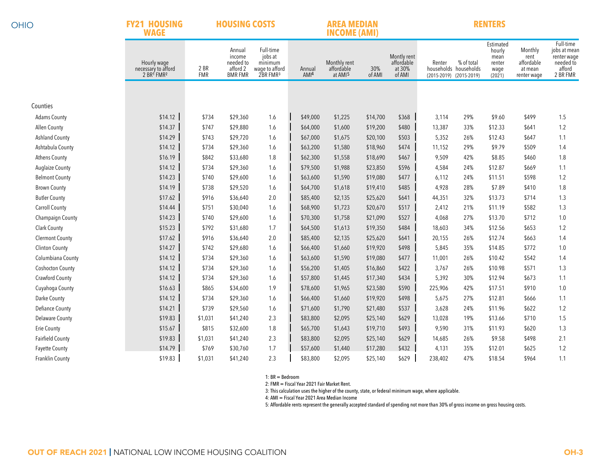| . .<br>۰, | I<br>v<br>u |
|-----------|-------------|

|  | <b>FY21 HOUSIN</b> |
|--|--------------------|
|  | WAGE               |

**FY21 HOUSING HOUSING COSTS**

## **AREA MEDIAN RENTERS**

|                         | <b>WAGE</b>                                                              |                    |                                                             |                                                                           |                            | <b>INCOME (AMI)</b>                               |               |                                               |                                   |                                     |                                                         |                                                         |                                                                             |
|-------------------------|--------------------------------------------------------------------------|--------------------|-------------------------------------------------------------|---------------------------------------------------------------------------|----------------------------|---------------------------------------------------|---------------|-----------------------------------------------|-----------------------------------|-------------------------------------|---------------------------------------------------------|---------------------------------------------------------|-----------------------------------------------------------------------------|
|                         | Hourly wage<br>necessary to afford<br>2 BR <sup>1</sup> FMR <sup>2</sup> | 2 BR<br><b>FMR</b> | Annual<br>income<br>needed to<br>afford 2<br><b>BMR FMR</b> | Full-time<br>jobs at<br>minimum<br>wage to afford<br>2BR FMR <sup>3</sup> | Annual<br>AMI <sup>4</sup> | Monthly rent<br>affordable<br>at AMI <sup>5</sup> | 30%<br>of AMI | Montly rent<br>affordable<br>at 30%<br>of AMI | Renter<br>(2015-2019) (2015-2019) | % of total<br>households households | Estimated<br>hourly<br>mean<br>renter<br>wage<br>(2021) | Monthly<br>rent<br>affordable<br>at mean<br>renter wage | Full-time<br>jobs at mean<br>renter wage<br>needed to<br>afford<br>2 BR FMR |
|                         |                                                                          |                    |                                                             |                                                                           |                            |                                                   |               |                                               |                                   |                                     |                                                         |                                                         |                                                                             |
|                         |                                                                          |                    |                                                             |                                                                           |                            |                                                   |               |                                               |                                   |                                     |                                                         |                                                         |                                                                             |
| Counties                |                                                                          |                    |                                                             |                                                                           |                            |                                                   |               |                                               |                                   |                                     |                                                         |                                                         |                                                                             |
| <b>Adams County</b>     | \$14.12                                                                  | \$734              | \$29,360                                                    | 1.6                                                                       | \$49,000                   | \$1,225                                           | \$14,700      | \$368                                         | 3,114                             | 29%                                 | \$9.60                                                  | \$499                                                   | 1.5                                                                         |
| Allen County            | \$14.37                                                                  | \$747              | \$29,880                                                    | 1.6                                                                       | \$64,000                   | \$1,600                                           | \$19,200      | \$480                                         | 13,387                            | 33%                                 | \$12.33                                                 | \$641                                                   | $1.2\,$                                                                     |
| <b>Ashland County</b>   | \$14.29                                                                  | \$743              | \$29,720                                                    | 1.6                                                                       | \$67,000                   | \$1,675                                           | \$20,100      | \$503                                         | 5,352                             | 26%                                 | \$12.43                                                 | \$647                                                   | 1.1                                                                         |
| Ashtabula County        | \$14.12                                                                  | \$734              | \$29,360                                                    | 1.6                                                                       | \$63,200                   | \$1,580                                           | \$18,960      | \$474                                         | 11,152                            | 29%                                 | \$9.79                                                  | \$509                                                   | 1.4                                                                         |
| Athens County           | \$16.19                                                                  | \$842              | \$33,680                                                    | 1.8                                                                       | \$62,300                   | \$1,558                                           | \$18,690      | \$467                                         | 9,509                             | 42%                                 | \$8.85                                                  | \$460                                                   | 1.8                                                                         |
| <b>Auglaize County</b>  | \$14.12                                                                  | \$734              | \$29,360                                                    | 1.6                                                                       | \$79,500                   | \$1,988                                           | \$23,850      | \$596                                         | 4,584                             | 24%                                 | \$12.87                                                 | \$669                                                   | 1.1                                                                         |
| <b>Belmont County</b>   | \$14.23                                                                  | \$740              | \$29,600                                                    | 1.6                                                                       | \$63,600                   | \$1,590                                           | \$19,080      | \$477                                         | 6,112                             | 24%                                 | \$11.51                                                 | \$598                                                   | 1.2                                                                         |
| <b>Brown County</b>     | \$14.19                                                                  | \$738              | \$29,520                                                    | 1.6                                                                       | \$64,700                   | \$1,618                                           | \$19,410      | \$485                                         | 4,928                             | 28%                                 | \$7.89                                                  | \$410                                                   | 1.8                                                                         |
| <b>Butler County</b>    | \$17.62                                                                  | \$916              | \$36,640                                                    | 2.0                                                                       | \$85,400                   | \$2,135                                           | \$25,620      | \$641                                         | 44,351                            | 32%                                 | \$13.73                                                 | \$714                                                   | 1.3                                                                         |
| <b>Carroll County</b>   | \$14.44                                                                  | \$751              | \$30,040                                                    | 1.6                                                                       | \$68,900                   | \$1,723                                           | \$20,670      | \$517                                         | 2,412                             | 21%                                 | \$11.19                                                 | \$582                                                   | 1.3                                                                         |
| Champaign County        | \$14.23                                                                  | \$740              | \$29,600                                                    | 1.6                                                                       | \$70,300                   | \$1,758                                           | \$21,090      | \$527                                         | 4,068                             | 27%                                 | \$13.70                                                 | \$712                                                   | 1.0                                                                         |
| Clark County            | \$15.23                                                                  | \$792              | \$31,680                                                    | 1.7                                                                       | \$64,500                   | \$1,613                                           | \$19,350      | \$484                                         | 18,603                            | 34%                                 | \$12.56                                                 | \$653                                                   | 1.2                                                                         |
| <b>Clermont County</b>  | \$17.62                                                                  | \$916              | \$36,640                                                    | 2.0                                                                       | \$85,400                   | \$2,135                                           | \$25,620      | \$641                                         | 20,155                            | 26%                                 | \$12.74                                                 | \$663                                                   | 1.4                                                                         |
| <b>Clinton County</b>   | \$14.27                                                                  | \$742              | \$29,680                                                    | 1.6                                                                       | \$66,400                   | \$1,660                                           | \$19,920      | \$498                                         | 5,845                             | 35%                                 | \$14.85                                                 | \$772                                                   | 1.0                                                                         |
| Columbiana County       | \$14.12                                                                  | \$734              | \$29,360                                                    | 1.6                                                                       | \$63,600                   | \$1,590                                           | \$19,080      | \$477                                         | 11,001                            | 26%                                 | \$10.42                                                 | \$542                                                   | 1.4                                                                         |
| Coshocton County        | \$14.12                                                                  | \$734              | \$29,360                                                    | 1.6                                                                       | \$56,200                   | \$1,405                                           | \$16,860      | \$422                                         | 3,767                             | 26%                                 | \$10.98                                                 | \$571                                                   | 1.3                                                                         |
| <b>Crawford County</b>  | \$14.12                                                                  | \$734              | \$29,360                                                    | 1.6                                                                       | \$57,800                   | \$1,445                                           | \$17,340      | \$434                                         | 5,392                             | 30%                                 | \$12.94                                                 | \$673                                                   | 1.1                                                                         |
| Cuyahoga County         | \$16.63                                                                  | \$865              | \$34,600                                                    | 1.9                                                                       | \$78,600                   | \$1,965                                           | \$23,580      | \$590                                         | 225,906                           | 42%                                 | \$17.51                                                 | \$910                                                   | 1.0                                                                         |
| Darke County            | \$14.12                                                                  | \$734              | \$29,360                                                    | 1.6                                                                       | \$66,400                   | \$1,660                                           | \$19,920      | \$498                                         | 5,675                             | 27%                                 | \$12.81                                                 | \$666                                                   | 1.1                                                                         |
| <b>Defiance County</b>  | \$14.21                                                                  | \$739              | \$29,560                                                    | 1.6                                                                       | \$71,600                   | \$1,790                                           | \$21,480      | \$537                                         | 3,628                             | 24%                                 | \$11.96                                                 | \$622                                                   | 1.2                                                                         |
| <b>Delaware County</b>  | \$19.83                                                                  | \$1,031            | \$41,240                                                    | 2.3                                                                       | \$83,800                   | \$2,095                                           | \$25,140      | \$629                                         | 13,028                            | 19%                                 | \$13.66                                                 | \$710                                                   | 1.5                                                                         |
| <b>Erie County</b>      | \$15.67                                                                  | \$815              | \$32,600                                                    | 1.8                                                                       | \$65,700                   | \$1,643                                           | \$19,710      | \$493                                         | 9,590                             | 31%                                 | \$11.93                                                 | \$620                                                   | 1.3                                                                         |
| <b>Fairfield County</b> | \$19.83                                                                  | \$1,031            | \$41,240                                                    | 2.3                                                                       | \$83,800                   | \$2,095                                           | \$25,140      | \$629                                         | 14,685                            | 26%                                 | \$9.58                                                  | \$498                                                   | 2.1                                                                         |
| <b>Fayette County</b>   | \$14.79                                                                  | \$769              | \$30,760                                                    | 1.7                                                                       | \$57,600                   | \$1,440                                           | \$17,280      | \$432                                         | 4,131                             | 35%                                 | \$12.01                                                 | \$625                                                   | 1.2                                                                         |
| <b>Franklin County</b>  | \$19.83                                                                  | \$1,031            | \$41,240                                                    | 2.3                                                                       | \$83,800                   | \$2,095                                           | \$25,140      | \$629                                         | 238,402                           | 47%                                 | \$18.54                                                 | \$964                                                   | 1.1                                                                         |

1: BR = Bedroom

2: FMR = Fiscal Year 2021 Fair Market Rent.

3: This calculation uses the higher of the county, state, or federal minimum wage, where applicable.

4: AMI = Fiscal Year 2021 Area Median Income

5: Affordable rents represent the generally accepted standard of spending not more than 30% of gross income on gross housing costs.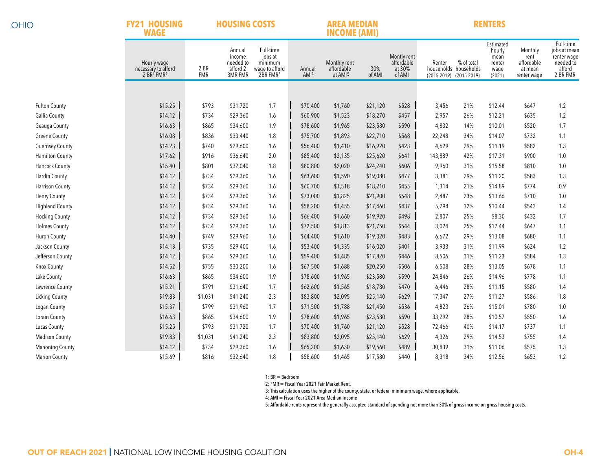OHIO

### **FY21 HOUSING HOUSING COSTS**

### **AREA MEDIAN RENTERS**

|                        | <b>WAGE</b>                                      | <b>INCOME (AMI)</b> |                                                             |                                                                           |                            |                                                   |               |                                               |         |                                                                |                                                         |                                                         |                                                                             |
|------------------------|--------------------------------------------------|---------------------|-------------------------------------------------------------|---------------------------------------------------------------------------|----------------------------|---------------------------------------------------|---------------|-----------------------------------------------|---------|----------------------------------------------------------------|---------------------------------------------------------|---------------------------------------------------------|-----------------------------------------------------------------------------|
|                        | Hourly wage<br>necessary to afford<br>2 BR1 FMR2 | 2 BR<br><b>FMR</b>  | Annual<br>income<br>needed to<br>afford 2<br><b>BMR FMR</b> | Full-time<br>jobs at<br>minimum<br>wage to afford<br>2BR FMR <sup>3</sup> | Annual<br>AMI <sup>4</sup> | Monthly rent<br>affordable<br>at AMI <sup>5</sup> | 30%<br>of AMI | Montly rent<br>affordable<br>at 30%<br>of AMI | Renter  | % of total<br>households households<br>(2015-2019) (2015-2019) | Estimated<br>hourly<br>mean<br>renter<br>wage<br>(2021) | Monthly<br>rent<br>affordable<br>at mean<br>renter wage | Full-time<br>jobs at mean<br>renter wage<br>needed to<br>afford<br>2 BR FMR |
|                        |                                                  |                     |                                                             |                                                                           |                            |                                                   |               |                                               |         |                                                                |                                                         |                                                         |                                                                             |
|                        |                                                  |                     |                                                             |                                                                           |                            |                                                   |               |                                               |         |                                                                |                                                         |                                                         |                                                                             |
| <b>Fulton County</b>   | \$15.25                                          | \$793               | \$31,720                                                    | 1.7                                                                       | \$70,400                   | \$1,760                                           | \$21,120      | \$528                                         | 3,456   | 21%                                                            | \$12.44                                                 | \$647                                                   | 1.2                                                                         |
| <b>Gallia County</b>   | \$14.12                                          | \$734               | \$29,360                                                    | 1.6                                                                       | \$60,900                   | \$1,523                                           | \$18,270      | \$457                                         | 2,957   | 26%                                                            | \$12.21                                                 | \$635                                                   | 1.2                                                                         |
| Geauga County          | \$16.63                                          | \$865               | \$34,600                                                    | 1.9                                                                       | \$78,600                   | \$1,965                                           | \$23,580      | \$590                                         | 4,832   | 14%                                                            | \$10.01                                                 | \$520                                                   | 1.7                                                                         |
| <b>Greene County</b>   | \$16.08                                          | \$836               | \$33,440                                                    | 1.8                                                                       | \$75,700                   | \$1,893                                           | \$22,710      | \$568                                         | 22,248  | 34%                                                            | \$14.07                                                 | \$732                                                   | 1.1                                                                         |
| <b>Guernsey County</b> | \$14.23                                          | \$740               | \$29,600                                                    | 1.6                                                                       | \$56,400                   | \$1,410                                           | \$16,920      | \$423                                         | 4,629   | 29%                                                            | \$11.19                                                 | \$582                                                   | 1.3                                                                         |
| <b>Hamilton County</b> | \$17.62                                          | \$916               | \$36,640                                                    | 2.0                                                                       | \$85,400                   | \$2,135                                           | \$25,620      | \$641                                         | 143,889 | 42%                                                            | \$17.31                                                 | \$900                                                   | 1.0                                                                         |
| <b>Hancock County</b>  | \$15.40                                          | \$801               | \$32,040                                                    | 1.8                                                                       | \$80,800                   | \$2,020                                           | \$24,240      | \$606                                         | 9,960   | 31%                                                            | \$15.58                                                 | \$810                                                   | 1.0                                                                         |
| <b>Hardin County</b>   | \$14.12                                          | \$734               | \$29,360                                                    | 1.6                                                                       | \$63,600                   | \$1,590                                           | \$19,080      | \$477                                         | 3,381   | 29%                                                            | \$11.20                                                 | \$583                                                   | 1.3                                                                         |
| <b>Harrison County</b> | \$14.12                                          | \$734               | \$29,360                                                    | 1.6                                                                       | \$60,700                   | \$1,518                                           | \$18,210      | \$455                                         | 1,314   | 21%                                                            | \$14.89                                                 | \$774                                                   | 0.9                                                                         |
| <b>Henry County</b>    | \$14.12                                          | \$734               | \$29,360                                                    | 1.6                                                                       | \$73,000                   | \$1,825                                           | \$21,900      | \$548                                         | 2,487   | 23%                                                            | \$13.66                                                 | \$710                                                   | 1.0                                                                         |
| <b>Highland County</b> | \$14.12                                          | \$734               | \$29,360                                                    | 1.6                                                                       | \$58,200                   | \$1,455                                           | \$17,460      | \$437                                         | 5,294   | 32%                                                            | \$10.44                                                 | \$543                                                   | 1.4                                                                         |
| <b>Hocking County</b>  | \$14.12                                          | \$734               | \$29,360                                                    | 1.6                                                                       | \$66,400                   | \$1,660                                           | \$19,920      | \$498                                         | 2,807   | 25%                                                            | \$8.30                                                  | \$432                                                   | 1.7                                                                         |
| <b>Holmes County</b>   | \$14.12                                          | \$734               | \$29,360                                                    | 1.6                                                                       | \$72,500                   | \$1,813                                           | \$21,750      | \$544                                         | 3,024   | 25%                                                            | \$12.44                                                 | \$647                                                   | 1.1                                                                         |
| <b>Huron County</b>    | \$14.40                                          | \$749               | \$29,960                                                    | 1.6                                                                       | \$64,400                   | \$1,610                                           | \$19,320      | \$483                                         | 6,672   | 29%                                                            | \$13.08                                                 | \$680                                                   | 1.1                                                                         |
| Jackson County         | \$14.13                                          | \$735               | \$29,400                                                    | 1.6                                                                       | \$53,400                   | \$1,335                                           | \$16,020      | \$401                                         | 3,933   | 31%                                                            | \$11.99                                                 | \$624                                                   | $1.2\,$                                                                     |
| Jefferson County       | \$14.12                                          | \$734               | \$29,360                                                    | 1.6                                                                       | \$59,400                   | \$1,485                                           | \$17,820      | \$446                                         | 8,506   | 31%                                                            | \$11.23                                                 | \$584                                                   | 1.3                                                                         |
| <b>Knox County</b>     | \$14.52                                          | \$755               | \$30,200                                                    | 1.6                                                                       | \$67,500                   | \$1,688                                           | \$20,250      | \$506                                         | 6,508   | 28%                                                            | \$13.05                                                 | \$678                                                   | 1.1                                                                         |
| Lake County            | \$16.63                                          | \$865               | \$34,600                                                    | 1.9                                                                       | \$78,600                   | \$1,965                                           | \$23,580      | \$590                                         | 24,846  | 26%                                                            | \$14.96                                                 | \$778                                                   | 1.1                                                                         |
| Lawrence County        | \$15.21                                          | \$791               | \$31,640                                                    | 1.7                                                                       | \$62,600                   | \$1,565                                           | \$18,780      | \$470                                         | 6,446   | 28%                                                            | \$11.15                                                 | \$580                                                   | 1.4                                                                         |
| <b>Licking County</b>  | \$19.83                                          | \$1,031             | \$41,240                                                    | 2.3                                                                       | \$83,800                   | \$2,095                                           | \$25,140      | \$629                                         | 17,347  | 27%                                                            | \$11.27                                                 | \$586                                                   | 1.8                                                                         |
| Logan County           | \$15.37                                          | \$799               | \$31,960                                                    | 1.7                                                                       | \$71,500                   | \$1,788                                           | \$21,450      | \$536                                         | 4,823   | 26%                                                            | \$15.01                                                 | \$780                                                   | 1.0                                                                         |
| Lorain County          | \$16.63                                          | \$865               | \$34,600                                                    | 1.9                                                                       | \$78,600                   | \$1,965                                           | \$23,580      | \$590                                         | 33,292  | 28%                                                            | \$10.57                                                 | \$550                                                   | 1.6                                                                         |
| <b>Lucas County</b>    | \$15.25                                          | \$793               | \$31,720                                                    | 1.7                                                                       | \$70,400                   | \$1,760                                           | \$21,120      | \$528                                         | 72,466  | 40%                                                            | \$14.17                                                 | \$737                                                   | 1.1                                                                         |
| <b>Madison County</b>  | \$19.83                                          | \$1,031             | \$41,240                                                    | 2.3                                                                       | \$83,800                   | \$2,095                                           | \$25,140      | \$629                                         | 4,326   | 29%                                                            | \$14.53                                                 | \$755                                                   | 1.4                                                                         |
| <b>Mahoning County</b> | \$14.12                                          | \$734               | \$29,360                                                    | 1.6                                                                       | \$65,200                   | \$1,630                                           | \$19,560      | \$489                                         | 30,839  | 31%                                                            | \$11.06                                                 | \$575                                                   | 1.3                                                                         |
| <b>Marion County</b>   | \$15.69                                          | \$816               | \$32,640                                                    | 1.8                                                                       | \$58,600                   | \$1,465                                           | \$17,580      | \$440                                         | 8,318   | 34%                                                            | \$12.56                                                 | \$653                                                   | 1.2                                                                         |

1: BR = Bedroom

2: FMR = Fiscal Year 2021 Fair Market Rent.

3: This calculation uses the higher of the county, state, or federal minimum wage, where applicable.

4: AMI = Fiscal Year 2021 Area Median Income

5: Affordable rents represent the generally accepted standard of spending not more than 30% of gross income on gross housing costs.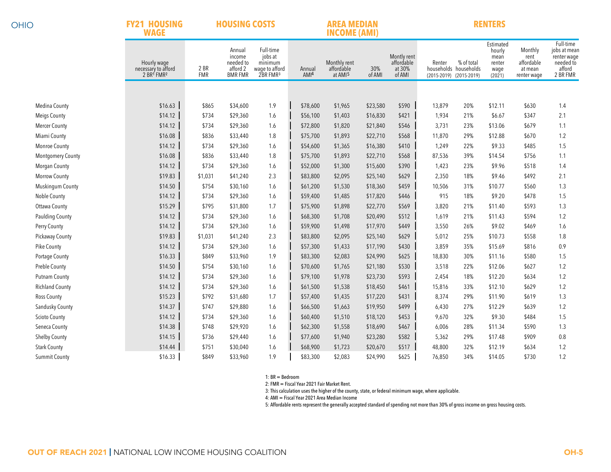OHIO

### **FY21 HOUSING HOUSING COSTS**

### **AREA MEDIAN RENTERS**

|                                                  |                                                                          | <b>WAGE</b><br><b>INCOME (AMI)</b> |                                                             |                                                                           |  |                            |                                                   |                      |                                               |                 |                                                                |                                                         |                                                         |                                                                             |
|--------------------------------------------------|--------------------------------------------------------------------------|------------------------------------|-------------------------------------------------------------|---------------------------------------------------------------------------|--|----------------------------|---------------------------------------------------|----------------------|-----------------------------------------------|-----------------|----------------------------------------------------------------|---------------------------------------------------------|---------------------------------------------------------|-----------------------------------------------------------------------------|
|                                                  | Hourly wage<br>necessary to afford<br>2 BR <sup>1</sup> FMR <sup>2</sup> | 2 BR<br><b>FMR</b>                 | Annual<br>income<br>needed to<br>afford 2<br><b>BMR FMR</b> | Full-time<br>jobs at<br>minimum<br>wage to afford<br>2BR FMR <sup>3</sup> |  | Annual<br>AMI <sup>4</sup> | Monthly rent<br>affordable<br>at AMI <sup>5</sup> | 30%<br>of AMI        | Montly rent<br>affordable<br>at 30%<br>of AMI | Renter          | % of total<br>households households<br>(2015-2019) (2015-2019) | Estimated<br>hourly<br>mean<br>renter<br>wage<br>(2021) | Monthly<br>rent<br>affordable<br>at mean<br>renter wage | Full-time<br>jobs at mean<br>renter wage<br>needed to<br>afford<br>2 BR FMR |
|                                                  |                                                                          |                                    |                                                             |                                                                           |  |                            |                                                   |                      |                                               |                 |                                                                |                                                         |                                                         |                                                                             |
|                                                  |                                                                          |                                    |                                                             |                                                                           |  |                            |                                                   |                      |                                               |                 |                                                                |                                                         |                                                         |                                                                             |
| Medina County                                    | \$16.63<br>\$14.12                                                       | \$865<br>\$734                     | \$34,600                                                    | 1.9                                                                       |  | \$78,600                   | \$1,965                                           | \$23,580             | \$590<br>\$421                                | 13,879<br>1,934 | 20%<br>21%                                                     | \$12.11<br>\$6.67                                       | \$630<br>\$347                                          | 1.4                                                                         |
| <b>Meigs County</b>                              |                                                                          |                                    | \$29,360                                                    | 1.6                                                                       |  | \$56,100                   | \$1,403                                           | \$16,830             |                                               |                 |                                                                |                                                         | \$679                                                   | 2.1                                                                         |
| <b>Mercer County</b>                             | \$14.12<br>\$16.08                                                       | \$734                              | \$29,360                                                    | 1.6<br>1.8                                                                |  | \$72,800                   | \$1,820                                           | \$21,840             | \$546<br>\$568                                | 3,731           | 23%<br>29%                                                     | \$13.06                                                 | \$670                                                   | 1.1                                                                         |
| Miami County                                     | \$14.12                                                                  | \$836                              | \$33,440                                                    |                                                                           |  | \$75,700                   | \$1,893                                           | \$22,710             |                                               | 11,870          |                                                                | \$12.88                                                 |                                                         | 1.2                                                                         |
| Monroe County                                    | \$16.08                                                                  | \$734<br>\$836                     | \$29,360                                                    | 1.6<br>1.8                                                                |  | \$54,600                   | \$1,365                                           | \$16,380             | \$410<br>\$568                                | 1,249<br>87,536 | 22%<br>39%                                                     | \$9.33<br>\$14.54                                       | \$485<br>\$756                                          | 1.5<br>1.1                                                                  |
| <b>Montgomery County</b><br><b>Morgan County</b> | \$14.12                                                                  | \$734                              | \$33,440<br>\$29,360                                        | 1.6                                                                       |  | \$75,700<br>\$52,000       | \$1,893<br>\$1,300                                | \$22,710<br>\$15,600 | \$390                                         | 1,423           | 23%                                                            | \$9.96                                                  | \$518                                                   | 1.4                                                                         |
| <b>Morrow County</b>                             | \$19.83                                                                  | \$1,031                            | \$41,240                                                    | 2.3                                                                       |  | \$83,800                   | \$2,095                                           | \$25,140             | \$629                                         | 2,350           | 18%                                                            | \$9.46                                                  | \$492                                                   | 2.1                                                                         |
| Muskingum County                                 | \$14.50                                                                  | \$754                              | \$30,160                                                    | 1.6                                                                       |  | \$61,200                   | \$1,530                                           | \$18,360             | \$459                                         | 10,506          | 31%                                                            | \$10.77                                                 | \$560                                                   | 1.3                                                                         |
| Noble County                                     | \$14.12                                                                  | \$734                              | \$29,360                                                    | 1.6                                                                       |  | \$59,400                   | \$1,485                                           | \$17,820             | \$446                                         | 915             | 18%                                                            | \$9.20                                                  | \$478                                                   | 1.5                                                                         |
| Ottawa County                                    | \$15.29                                                                  | \$795                              | \$31,800                                                    | 1.7                                                                       |  | \$75,900                   | \$1,898                                           | \$22,770             | \$569                                         | 3,820           | 21%                                                            | \$11.40                                                 | \$593                                                   | 1.3                                                                         |
| <b>Paulding County</b>                           | \$14.12                                                                  | \$734                              | \$29,360                                                    | 1.6                                                                       |  | \$68,300                   | \$1,708                                           | \$20,490             | \$512                                         | 1,619           | 21%                                                            | \$11.43                                                 | \$594                                                   | 1.2                                                                         |
| Perry County                                     | \$14.12                                                                  | \$734                              | \$29,360                                                    | 1.6                                                                       |  | \$59,900                   | \$1,498                                           | \$17,970             | \$449                                         | 3,550           | 26%                                                            | \$9.02                                                  | \$469                                                   | 1.6                                                                         |
| Pickaway County                                  | \$19.83                                                                  | \$1,031                            | \$41,240                                                    | 2.3                                                                       |  | \$83,800                   | \$2,095                                           | \$25,140             | \$629                                         | 5,012           | 25%                                                            | \$10.73                                                 | \$558                                                   | 1.8                                                                         |
| Pike County                                      | \$14.12                                                                  | \$734                              | \$29,360                                                    | 1.6                                                                       |  | \$57,300                   | \$1,433                                           | \$17,190             | \$430                                         | 3,859           | 35%                                                            | \$15.69                                                 | \$816                                                   | 0.9                                                                         |
| Portage County                                   | \$16.33                                                                  | \$849                              | \$33,960                                                    | 1.9                                                                       |  | \$83,300                   | \$2,083                                           | \$24,990             | \$625                                         | 18,830          | 30%                                                            | \$11.16                                                 | \$580                                                   | 1.5                                                                         |
| Preble County                                    | \$14.50                                                                  | \$754                              | \$30,160                                                    | 1.6                                                                       |  | \$70,600                   | \$1,765                                           | \$21,180             | \$530                                         | 3,518           | 22%                                                            | \$12.06                                                 | \$627                                                   | 1.2                                                                         |
| <b>Putnam County</b>                             | \$14.12                                                                  | \$734                              | \$29,360                                                    | 1.6                                                                       |  | \$79,100                   | \$1,978                                           | \$23,730             | \$593                                         | 2,454           | 18%                                                            | \$12.20                                                 | \$634                                                   | $1.2\,$                                                                     |
| <b>Richland County</b>                           | \$14.12                                                                  | \$734                              | \$29,360                                                    | 1.6                                                                       |  | \$61,500                   | \$1,538                                           | \$18,450             | \$461                                         | 15,816          | 33%                                                            | \$12.10                                                 | \$629                                                   | 1.2                                                                         |
| Ross County                                      | \$15.23                                                                  | \$792                              | \$31,680                                                    | 1.7                                                                       |  | \$57,400                   | \$1,435                                           | \$17,220             | \$431                                         | 8,374           | 29%                                                            | \$11.90                                                 | \$619                                                   | 1.3                                                                         |
| Sandusky County                                  | \$14.37                                                                  | \$747                              | \$29,880                                                    | 1.6                                                                       |  | \$66,500                   | \$1,663                                           | \$19,950             | \$499                                         | 6,430           | 27%                                                            | \$12.29                                                 | \$639                                                   | 1.2                                                                         |
| <b>Scioto County</b>                             | \$14.12                                                                  | \$734                              | \$29,360                                                    | 1.6                                                                       |  | \$60,400                   | \$1,510                                           | \$18,120             | \$453                                         | 9,670           | 32%                                                            | \$9.30                                                  | \$484                                                   | 1.5                                                                         |
| Seneca County                                    | \$14.38                                                                  | \$748                              | \$29,920                                                    | 1.6                                                                       |  | \$62,300                   | \$1,558                                           | \$18,690             | \$467                                         | 6,006           | 28%                                                            | \$11.34                                                 | \$590                                                   | 1.3                                                                         |
| Shelby County                                    | \$14.15                                                                  | \$736                              | \$29,440                                                    | 1.6                                                                       |  | \$77,600                   | \$1,940                                           | \$23,280             | \$582                                         | 5,362           | 29%                                                            | \$17.48                                                 | \$909                                                   | 0.8                                                                         |
| <b>Stark County</b>                              | \$14.44                                                                  | \$751                              | \$30,040                                                    | 1.6                                                                       |  | \$68,900                   | \$1,723                                           | \$20,670             | \$517                                         | 48,800          | 32%                                                            | \$12.19                                                 | \$634                                                   | 1.2                                                                         |
| <b>Summit County</b>                             | \$16.33                                                                  | \$849                              | \$33,960                                                    | 1.9                                                                       |  | \$83,300                   | \$2,083                                           | \$24,990             | \$625                                         | 76,850          | 34%                                                            | \$14.05                                                 | \$730                                                   | 1.2                                                                         |

1: BR = Bedroom

2: FMR = Fiscal Year 2021 Fair Market Rent.

3: This calculation uses the higher of the county, state, or federal minimum wage, where applicable.

4: AMI = Fiscal Year 2021 Area Median Income

5: Affordable rents represent the generally accepted standard of spending not more than 30% of gross income on gross housing costs.